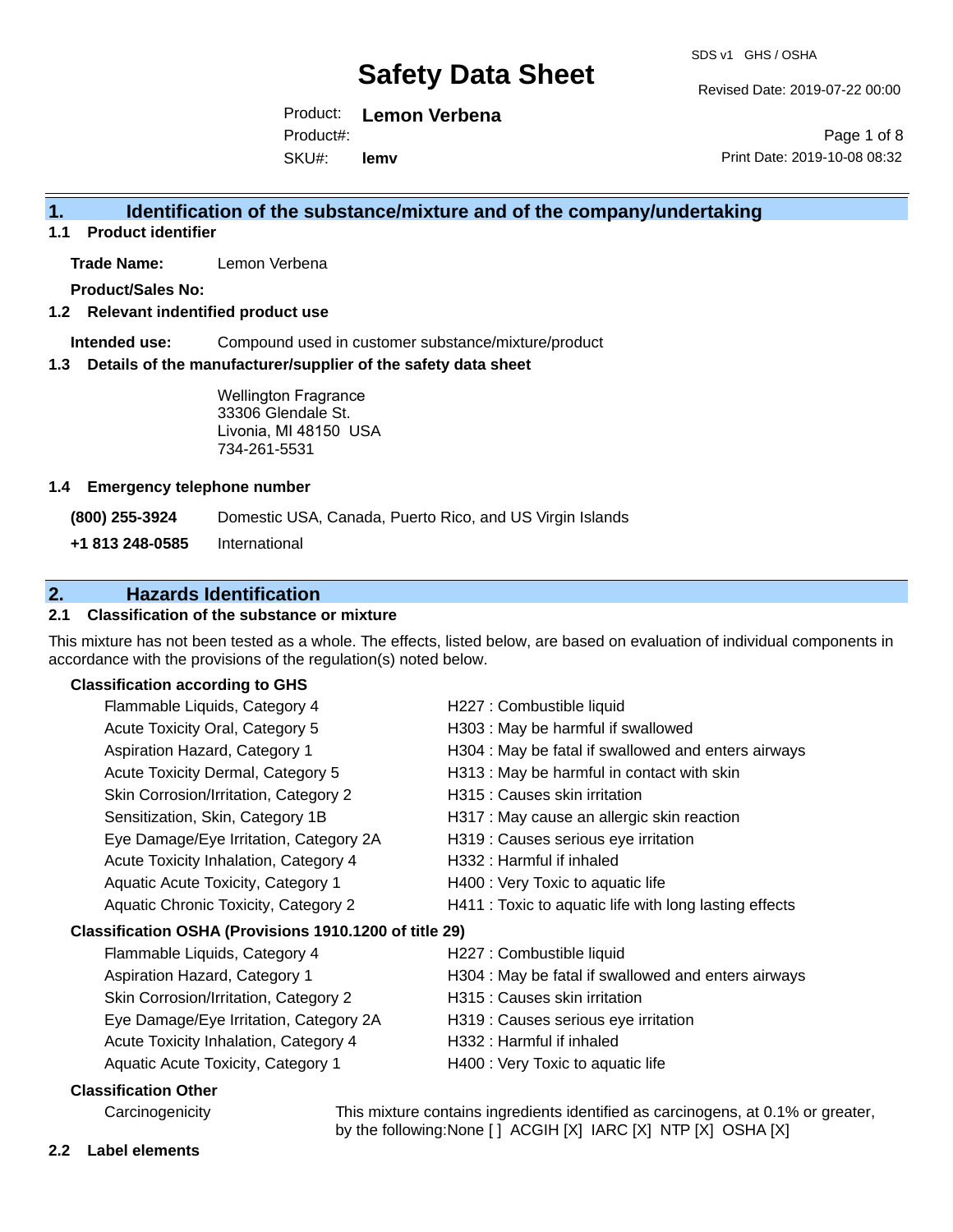Revised Date: 2019-07-22 00:00

Print Date: 2019-10-08 08:32

Page 1 of 8

Product: **Lemon Verbena** Product#:

SKU#: **lemv**

## **1. Identification of the substance/mixture and of the company/undertaking**

**1.1 Product identifier**

**Trade Name:** Lemon Verbena

**Product/Sales No:**

## **1.2 Relevant indentified product use**

**Intended use:** Compound used in customer substance/mixture/product

### **1.3 Details of the manufacturer/supplier of the safety data sheet**

Wellington Fragrance 33306 Glendale St. Livonia, MI 48150 USA 734-261-5531

### **1.4 Emergency telephone number**

**(800) 255-3924** Domestic USA, Canada, Puerto Rico, and US Virgin Islands

**+1 813 248-0585** International

# **2. Hazards Identification**

## **2.1 Classification of the substance or mixture**

This mixture has not been tested as a whole. The effects, listed below, are based on evaluation of individual components in accordance with the provisions of the regulation(s) noted below.

## **Classification according to GHS**

| Flammable Liquids, Category 4                          | H227 : Combustible liquid                              |
|--------------------------------------------------------|--------------------------------------------------------|
| Acute Toxicity Oral, Category 5                        | H303 : May be harmful if swallowed                     |
| Aspiration Hazard, Category 1                          | H304 : May be fatal if swallowed and enters airways    |
| Acute Toxicity Dermal, Category 5                      | H313 : May be harmful in contact with skin             |
| Skin Corrosion/Irritation, Category 2                  | H315 : Causes skin irritation                          |
| Sensitization, Skin, Category 1B                       | H317 : May cause an allergic skin reaction             |
| Eye Damage/Eye Irritation, Category 2A                 | H319 : Causes serious eye irritation                   |
| Acute Toxicity Inhalation, Category 4                  | H332 : Harmful if inhaled                              |
| Aquatic Acute Toxicity, Category 1                     | H400 : Very Toxic to aquatic life                      |
| Aquatic Chronic Toxicity, Category 2                   | H411 : Toxic to aquatic life with long lasting effects |
| Classification OSHA (Provisions 1910.1200 of title 29) |                                                        |
| Flammable Liquids, Category 4                          | H227 : Combustible liquid                              |
| Aspiration Hazard, Category 1                          | H304 : May be fatal if swallowed and enters airways    |
| Skin Corrosion/Irritation, Category 2                  | H315 : Causes skin irritation                          |
| Eye Damage/Eye Irritation, Category 2A                 | H319 : Causes serious eye irritation                   |
| Acute Toxicity Inhalation, Category 4                  | H332 : Harmful if inhaled                              |
| Aquatic Acute Toxicity, Category 1                     | H400 : Very Toxic to aquatic life                      |
|                                                        |                                                        |

## **Classification Other**

Carcinogenicity This mixture contains ingredients identified as carcinogens, at 0.1% or greater, by the following:None [ ] ACGIH [X] IARC [X] NTP [X] OSHA [X]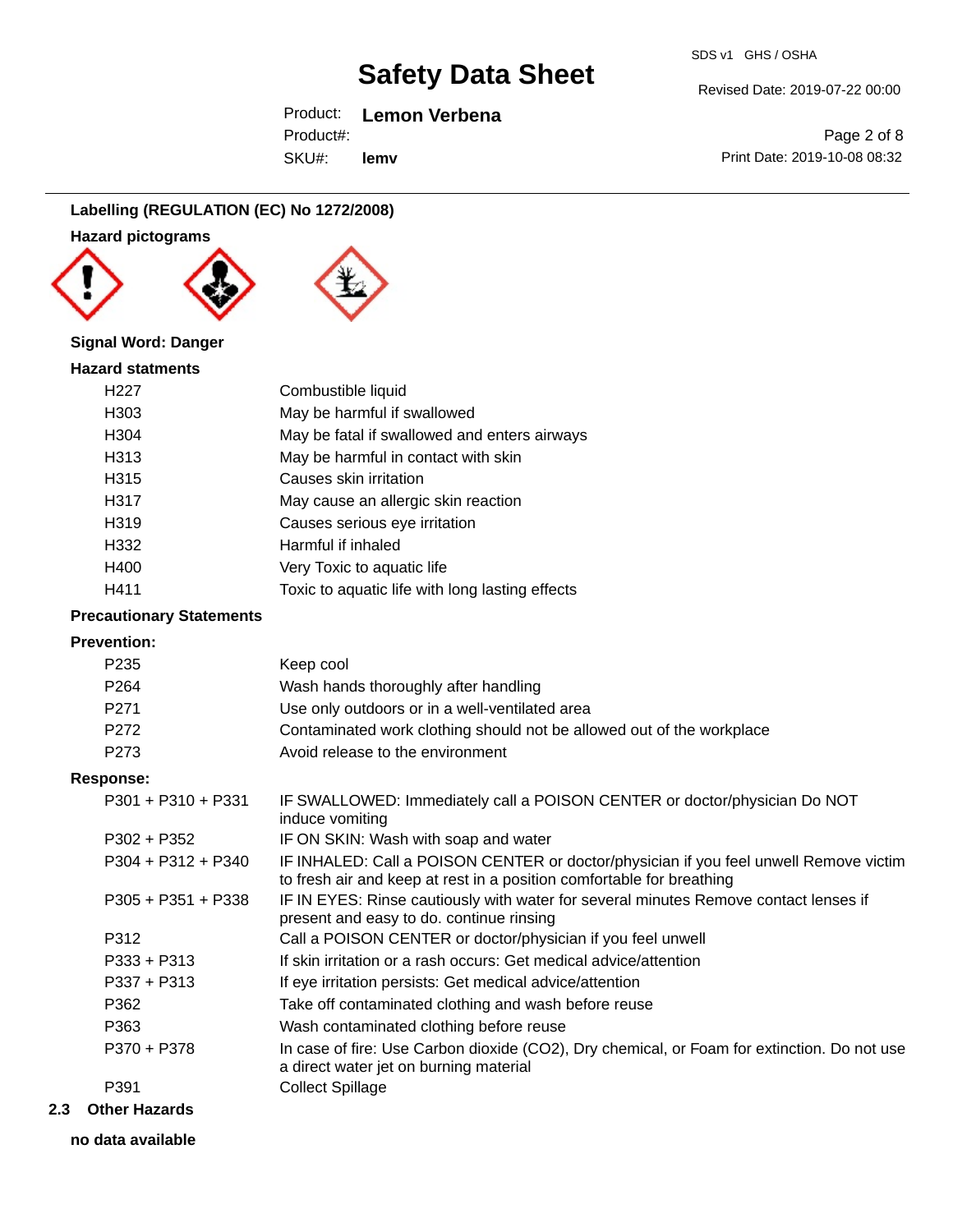## Product: **Lemon Verbena**

SKU#: Product#: **lemv** Page 2 of 8

Revised Date: 2019-07-22 00:00

Print Date: 2019-10-08 08:32

## **Labelling (REGULATION (EC) No 1272/2008)**

**Hazard pictograms**





## **Signal Word: Danger**

| Combustible liquid                              |
|-------------------------------------------------|
| May be harmful if swallowed                     |
| May be fatal if swallowed and enters airways    |
| May be harmful in contact with skin             |
| Causes skin irritation                          |
| May cause an allergic skin reaction             |
| Causes serious eye irritation                   |
| Harmful if inhaled                              |
| Very Toxic to aquatic life                      |
| Toxic to aquatic life with long lasting effects |
|                                                 |

## **Precautionary Statements**

### **Prevention:**

| P <sub>235</sub>     | Keep cool                                                                                                                                                      |
|----------------------|----------------------------------------------------------------------------------------------------------------------------------------------------------------|
| P <sub>264</sub>     | Wash hands thoroughly after handling                                                                                                                           |
| P271                 | Use only outdoors or in a well-ventilated area                                                                                                                 |
| P272                 | Contaminated work clothing should not be allowed out of the workplace                                                                                          |
| P273                 | Avoid release to the environment                                                                                                                               |
| <b>Response:</b>     |                                                                                                                                                                |
| $P301 + P310 + P331$ | IF SWALLOWED: Immediately call a POISON CENTER or doctor/physician Do NOT<br>induce vomiting                                                                   |
| $P302 + P352$        | IF ON SKIN: Wash with soap and water                                                                                                                           |
| $P304 + P312 + P340$ | IF INHALED: Call a POISON CENTER or doctor/physician if you feel unwell Remove victim<br>to fresh air and keep at rest in a position comfortable for breathing |
| $P305 + P351 + P338$ | IF IN EYES: Rinse cautiously with water for several minutes Remove contact lenses if<br>present and easy to do. continue rinsing                               |
| P312                 | Call a POISON CENTER or doctor/physician if you feel unwell                                                                                                    |
| $P333 + P313$        | If skin irritation or a rash occurs: Get medical advice/attention                                                                                              |
| $P337 + P313$        | If eye irritation persists: Get medical advice/attention                                                                                                       |
| P362                 | Take off contaminated clothing and wash before reuse                                                                                                           |
| P363                 | Wash contaminated clothing before reuse                                                                                                                        |
| P370 + P378          | In case of fire: Use Carbon dioxide (CO2), Dry chemical, or Foam for extinction. Do not use<br>a direct water jet on burning material                          |
| P391                 | <b>Collect Spillage</b>                                                                                                                                        |
|                      |                                                                                                                                                                |

## **2.3 Other Hazards**

**no data available**

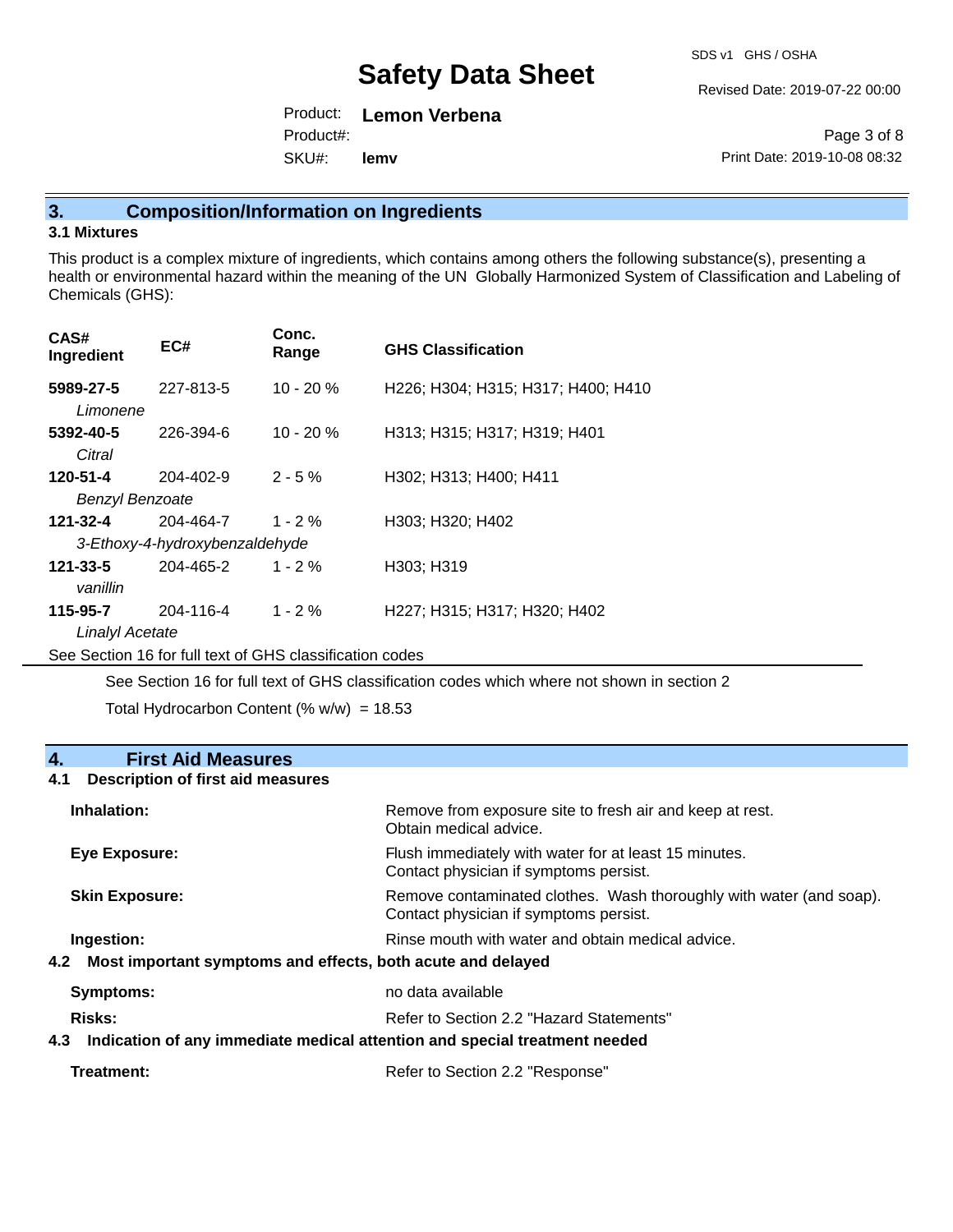Revised Date: 2019-07-22 00:00

Product: **Lemon Verbena** SKU#: Product#: **lemv**

Page 3 of 8 Print Date: 2019-10-08 08:32

## **3. Composition/Information on Ingredients**

## **3.1 Mixtures**

This product is a complex mixture of ingredients, which contains among others the following substance(s), presenting a health or environmental hazard within the meaning of the UN Globally Harmonized System of Classification and Labeling of Chemicals (GHS):

| CAS#<br>Ingredient                 | EC#                                         | Conc.<br>Range | <b>GHS Classification</b>          |
|------------------------------------|---------------------------------------------|----------------|------------------------------------|
| 5989-27-5<br>Limonene              | 227-813-5                                   | $10 - 20 %$    | H226; H304; H315; H317; H400; H410 |
| 5392-40-5<br>Citral                | 226-394-6                                   | $10 - 20%$     | H313; H315; H317; H319; H401       |
| 120-51-4<br><b>Benzyl Benzoate</b> | 204-402-9                                   | $2 - 5%$       | H302; H313; H400; H411             |
| 121-32-4                           | 204-464-7<br>3-Ethoxy-4-hydroxybenzaldehyde | $1 - 2 \%$     | H303; H320; H402                   |
| 121-33-5<br>vanillin               | 204-465-2                                   | $1 - 2%$       | H303; H319                         |
| 115-95-7<br>Linalyl Acetate        | 204-116-4                                   | $1 - 2%$       | H227; H315; H317; H320; H402       |

See Section 16 for full text of GHS classification codes

See Section 16 for full text of GHS classification codes which where not shown in section 2

Total Hydrocarbon Content (%  $w/w$ ) = 18.53

## **4. First Aid Measures**

### **4.1 Description of first aid measures**

| Inhalation:                                                        | Remove from exposure site to fresh air and keep at rest.<br>Obtain medical advice.                            |
|--------------------------------------------------------------------|---------------------------------------------------------------------------------------------------------------|
| Eye Exposure:                                                      | Flush immediately with water for at least 15 minutes.<br>Contact physician if symptoms persist.               |
| <b>Skin Exposure:</b>                                              | Remove contaminated clothes. Wash thoroughly with water (and soap).<br>Contact physician if symptoms persist. |
| Ingestion:                                                         | Rinse mouth with water and obtain medical advice.                                                             |
| Most important symptoms and effects, both acute and delayed<br>4.2 |                                                                                                               |
| no data available<br><b>Symptoms:</b>                              |                                                                                                               |
| Risks:<br>Refer to Section 2.2 "Hazard Statements"                 |                                                                                                               |
|                                                                    | 4.3 Indication of any immediate medical attention and special treatment needed                                |
|                                                                    |                                                                                                               |

**Treatment:** Treatment: Treatment: Refer to Section 2.2 "Response"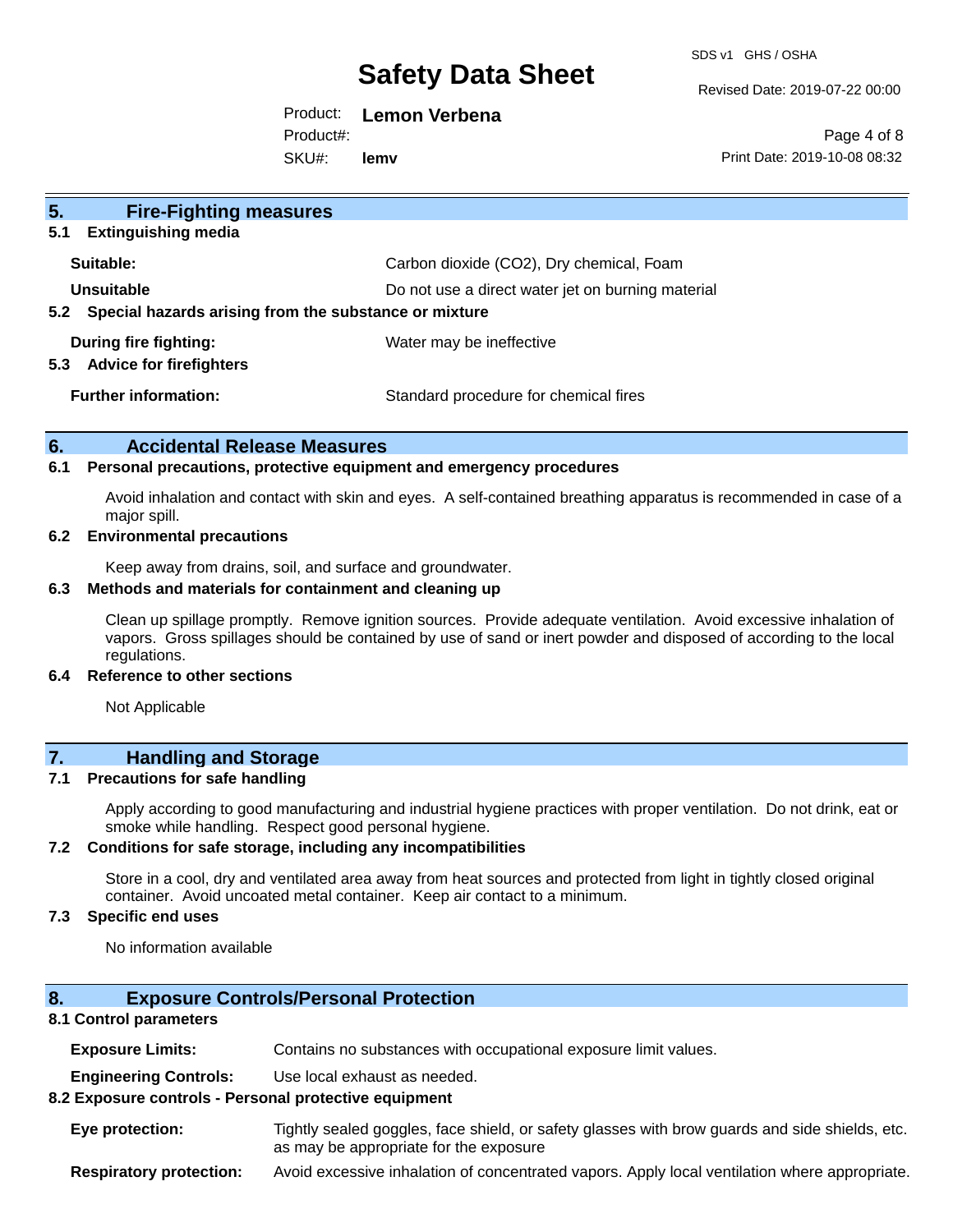SDS v1 GHS / OSHA

Revised Date: 2019-07-22 00:00

Product: **Lemon Verbena** Product#:

SKU#: **lemv**

Page 4 of 8 Print Date: 2019-10-08 08:32

| 5 <sub>1</sub><br><b>Fire-Fighting measures</b><br><b>Extinguishing media</b><br>5.1 |                                                   |
|--------------------------------------------------------------------------------------|---------------------------------------------------|
| Suitable:                                                                            | Carbon dioxide (CO2), Dry chemical, Foam          |
| <b>Unsuitable</b><br>5.2 Special hazards arising from the substance or mixture       | Do not use a direct water jet on burning material |
| During fire fighting:<br><b>Advice for firefighters</b><br>5.3                       | Water may be ineffective                          |
| <b>Further information:</b>                                                          | Standard procedure for chemical fires             |

### **6. Accidental Release Measures**

#### **6.1 Personal precautions, protective equipment and emergency procedures**

Avoid inhalation and contact with skin and eyes. A self-contained breathing apparatus is recommended in case of a major spill.

### **6.2 Environmental precautions**

Keep away from drains, soil, and surface and groundwater.

#### **6.3 Methods and materials for containment and cleaning up**

Clean up spillage promptly. Remove ignition sources. Provide adequate ventilation. Avoid excessive inhalation of vapors. Gross spillages should be contained by use of sand or inert powder and disposed of according to the local regulations.

#### **6.4 Reference to other sections**

Not Applicable

## **7. Handling and Storage**

### **7.1 Precautions for safe handling**

Apply according to good manufacturing and industrial hygiene practices with proper ventilation. Do not drink, eat or smoke while handling. Respect good personal hygiene.

#### **7.2 Conditions for safe storage, including any incompatibilities**

Store in a cool, dry and ventilated area away from heat sources and protected from light in tightly closed original container. Avoid uncoated metal container. Keep air contact to a minimum.

## **7.3 Specific end uses**

No information available

## **8. Exposure Controls/Personal Protection**

### **8.1 Control parameters**

**Exposure Limits:** Contains no substances with occupational exposure limit values.

**Engineering Controls:** Use local exhaust as needed.

#### **8.2 Exposure controls - Personal protective equipment**

**Eye protection:** Tightly sealed goggles, face shield, or safety glasses with brow guards and side shields, etc. as may be appropriate for the exposure

**Respiratory protection:** Avoid excessive inhalation of concentrated vapors. Apply local ventilation where appropriate.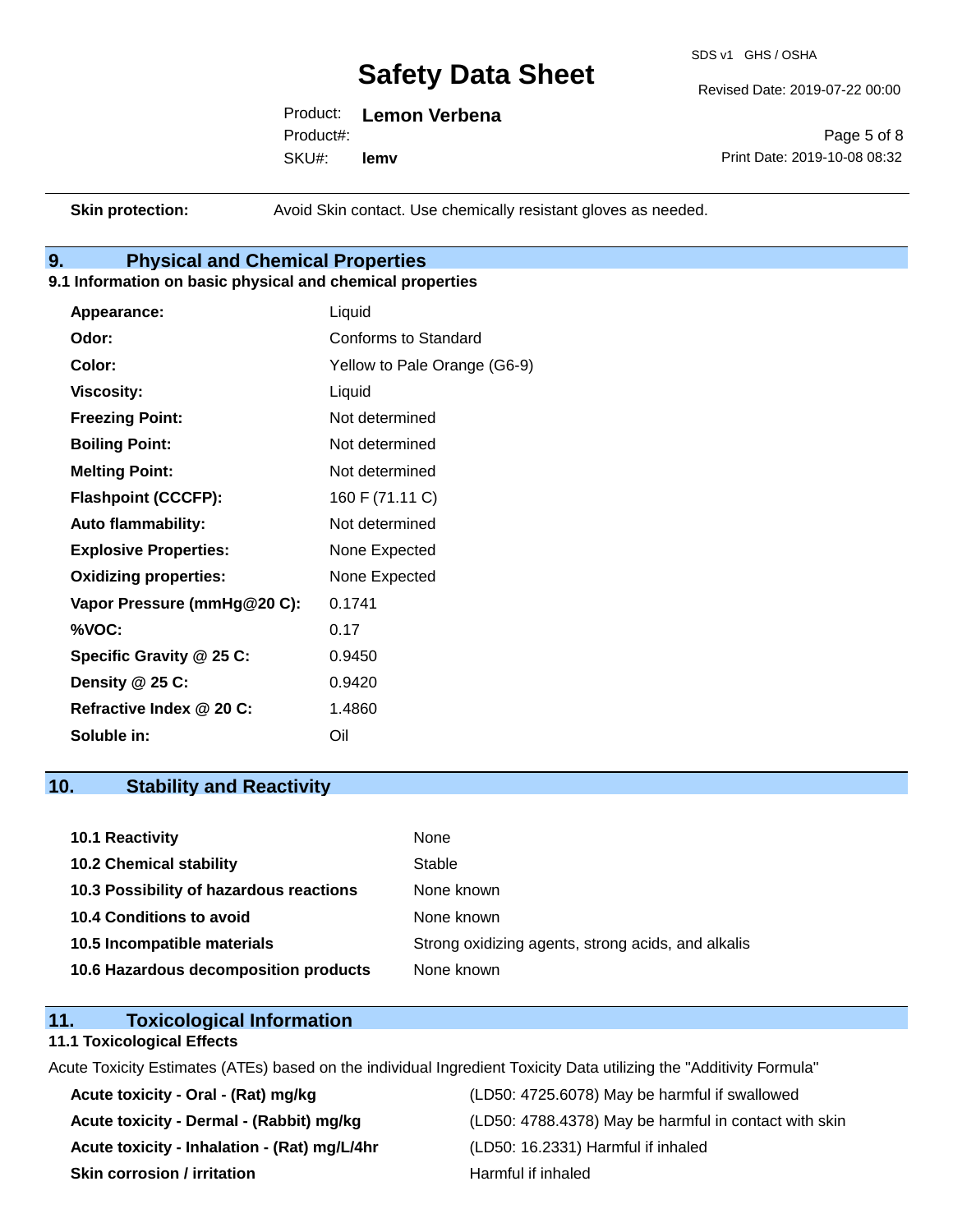SDS v1 GHS / OSHA

Revised Date: 2019-07-22 00:00

Product: **Lemon Verbena** SKU#: Product#: **lemv**

Page 5 of 8 Print Date: 2019-10-08 08:32

**Skin protection:** Avoid Skin contact. Use chemically resistant gloves as needed.

# **9. Physical and Chemical Properties**

## **9.1 Information on basic physical and chemical properties**

| Appearance:                  | Liquid                       |
|------------------------------|------------------------------|
| Odor:                        | Conforms to Standard         |
| Color:                       | Yellow to Pale Orange (G6-9) |
| <b>Viscosity:</b>            | Liquid                       |
| <b>Freezing Point:</b>       | Not determined               |
| <b>Boiling Point:</b>        | Not determined               |
| <b>Melting Point:</b>        | Not determined               |
| <b>Flashpoint (CCCFP):</b>   | 160 F (71.11 C)              |
| <b>Auto flammability:</b>    | Not determined               |
| <b>Explosive Properties:</b> | None Expected                |
| <b>Oxidizing properties:</b> | None Expected                |
| Vapor Pressure (mmHg@20 C):  | 0.1741                       |
| %VOC:                        | 0.17                         |
| Specific Gravity @ 25 C:     | 0.9450                       |
| Density @ 25 C:              | 0.9420                       |
| Refractive Index @ 20 C:     | 1.4860                       |
| Soluble in:                  | Oil                          |

## **10. Stability and Reactivity**

| 10.1 Reactivity                         | None                                               |
|-----------------------------------------|----------------------------------------------------|
| <b>10.2 Chemical stability</b>          | Stable                                             |
| 10.3 Possibility of hazardous reactions | None known                                         |
| <b>10.4 Conditions to avoid</b>         | None known                                         |
| 10.5 Incompatible materials             | Strong oxidizing agents, strong acids, and alkalis |
| 10.6 Hazardous decomposition products   | None known                                         |

## **11. Toxicological Information**

#### **11.1 Toxicological Effects**

Acute Toxicity Estimates (ATEs) based on the individual Ingredient Toxicity Data utilizing the "Additivity Formula"

**Acute toxicity - Inhalation - (Rat) mg/L/4hr** (LD50: 16.2331) Harmful if inhaled **Skin corrosion / irritation** And Alleman Harmful if inhaled

**Acute toxicity - Oral - (Rat) mg/kg** (LD50: 4725.6078) May be harmful if swallowed Acute toxicity - Dermal - (Rabbit) mg/kg<br>
(LD50: 4788.4378) May be harmful in contact with skin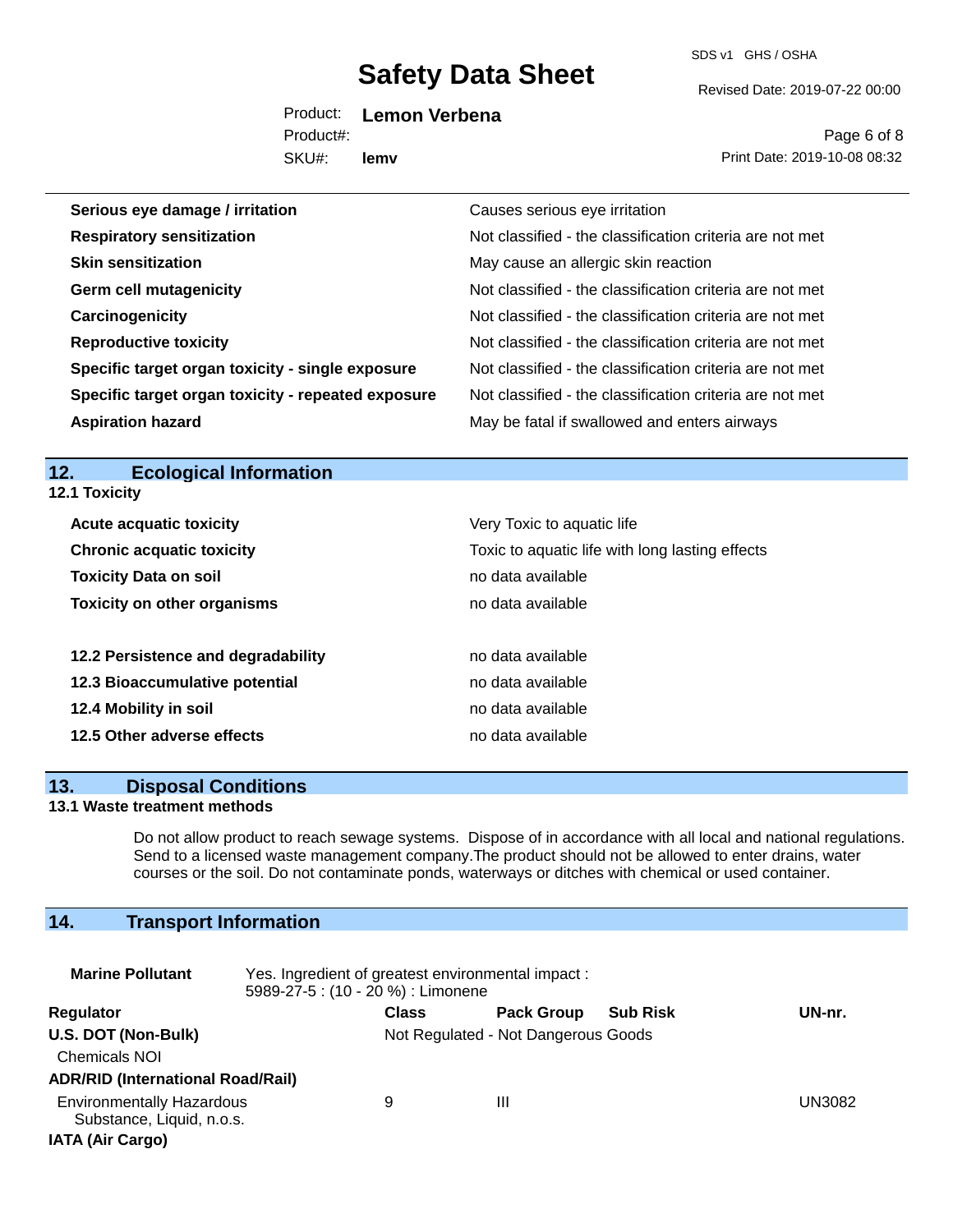SDS v1 GHS / OSHA

Revised Date: 2019-07-22 00:00

Product: **Lemon Verbena**

SKU#: Product#: **lemv**

Page 6 of 8 Print Date: 2019-10-08 08:32

| Serious eye damage / irritation                    | Causes serious eye irritation                            |
|----------------------------------------------------|----------------------------------------------------------|
| <b>Respiratory sensitization</b>                   | Not classified - the classification criteria are not met |
| <b>Skin sensitization</b>                          | May cause an allergic skin reaction                      |
| <b>Germ cell mutagenicity</b>                      | Not classified - the classification criteria are not met |
| Carcinogenicity                                    | Not classified - the classification criteria are not met |
| <b>Reproductive toxicity</b>                       | Not classified - the classification criteria are not met |
| Specific target organ toxicity - single exposure   | Not classified - the classification criteria are not met |
| Specific target organ toxicity - repeated exposure | Not classified - the classification criteria are not met |
| <b>Aspiration hazard</b>                           | May be fatal if swallowed and enters airways             |

## **12. Ecological Information 12.1 Toxicity**

| <b>Acute acquatic toxicity</b>     | Very Toxic to aquatic life                      |  |  |  |
|------------------------------------|-------------------------------------------------|--|--|--|
| <b>Chronic acquatic toxicity</b>   | Toxic to aquatic life with long lasting effects |  |  |  |
| <b>Toxicity Data on soil</b>       | no data available                               |  |  |  |
| <b>Toxicity on other organisms</b> | no data available                               |  |  |  |
| 12.2 Persistence and degradability | no data available                               |  |  |  |
| 12.3 Bioaccumulative potential     | no data available                               |  |  |  |
| 12.4 Mobility in soil              | no data available                               |  |  |  |
| 12.5 Other adverse effects         | no data available                               |  |  |  |

## **13. Disposal Conditions**

## **13.1 Waste treatment methods**

Do not allow product to reach sewage systems. Dispose of in accordance with all local and national regulations. Send to a licensed waste management company.The product should not be allowed to enter drains, water courses or the soil. Do not contaminate ponds, waterways or ditches with chemical or used container.

# **14. Transport Information**

| <b>Marine Pollutant</b><br>Yes. Ingredient of greatest environmental impact:<br>5989-27-5 : (10 - 20 %) : Limonene |  |                                     |                   |                 |        |
|--------------------------------------------------------------------------------------------------------------------|--|-------------------------------------|-------------------|-----------------|--------|
| Regulator                                                                                                          |  | <b>Class</b>                        | <b>Pack Group</b> | <b>Sub Risk</b> | UN-nr. |
| U.S. DOT (Non-Bulk)<br><b>Chemicals NOI</b><br><b>ADR/RID (International Road/Rail)</b>                            |  | Not Regulated - Not Dangerous Goods |                   |                 |        |
| <b>Environmentally Hazardous</b><br>Substance, Liquid, n.o.s.<br><b>IATA (Air Cargo)</b>                           |  | 9                                   | Ш                 |                 | UN3082 |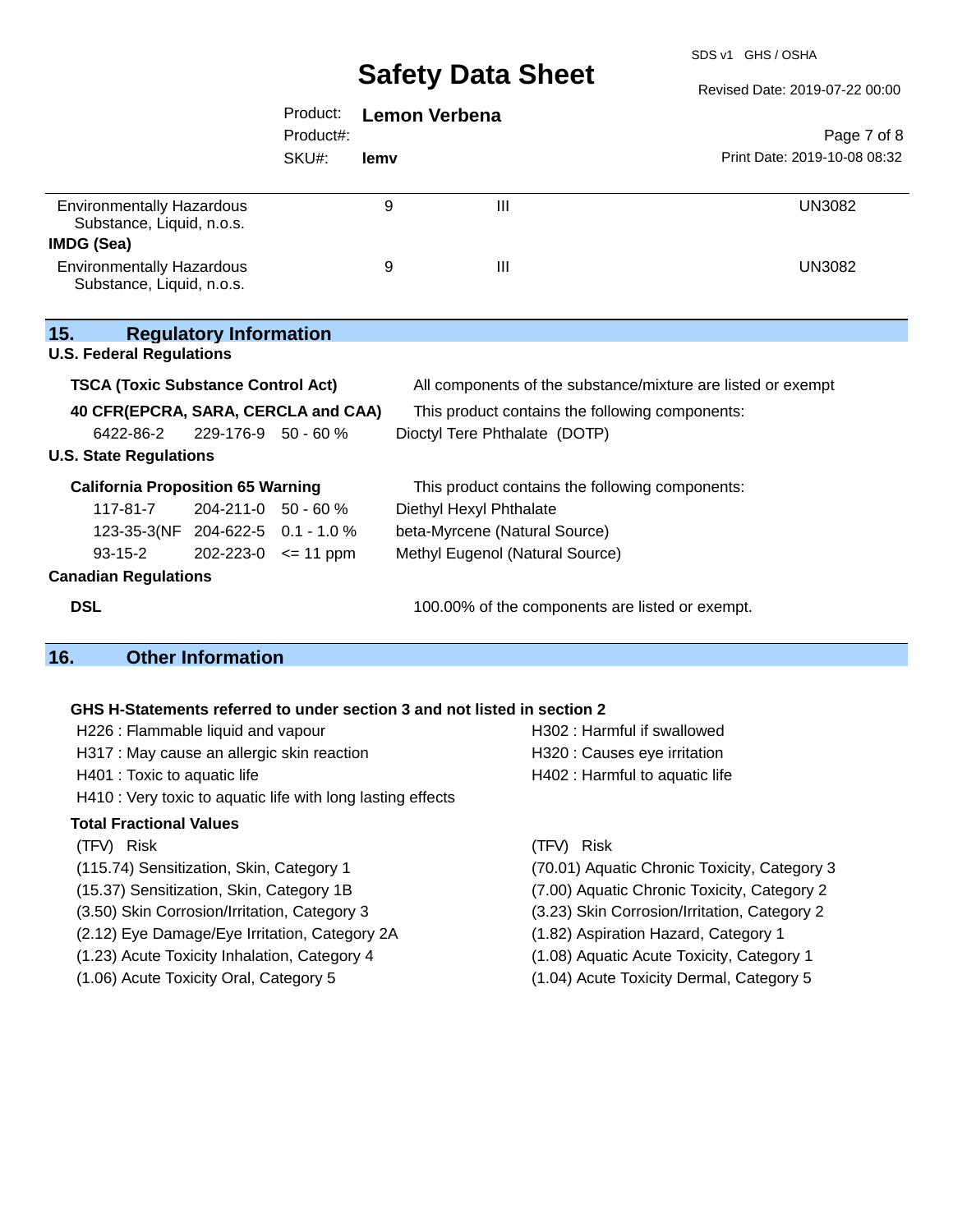SDS v1 GHS / OSHA

|                                                               |                               |           |                      | <b>UAIGLY DAIA UIIGGL</b>       | Revised Date: 2019-07-22 00:00                               |
|---------------------------------------------------------------|-------------------------------|-----------|----------------------|---------------------------------|--------------------------------------------------------------|
|                                                               |                               | Product:  | <b>Lemon Verbena</b> |                                 |                                                              |
|                                                               |                               | Product#: |                      |                                 | Page 7 of 8                                                  |
|                                                               |                               | SKU#:     | lemv                 |                                 | Print Date: 2019-10-08 08:32                                 |
| <b>Environmentally Hazardous</b><br>Substance, Liquid, n.o.s. |                               |           | 9                    | $\mathbf{III}$                  | <b>UN3082</b>                                                |
| IMDG (Sea)                                                    |                               |           |                      |                                 |                                                              |
| <b>Environmentally Hazardous</b><br>Substance, Liquid, n.o.s. |                               |           | 9                    | $\mathbf{III}$                  | <b>UN3082</b>                                                |
| 15.<br><b>U.S. Federal Regulations</b>                        | <b>Regulatory Information</b> |           |                      |                                 |                                                              |
| <b>TSCA (Toxic Substance Control Act)</b>                     |                               |           |                      |                                 | All components of the substance/mixture are listed or exempt |
| 40 CFR(EPCRA, SARA, CERCLA and CAA)                           |                               |           |                      |                                 | This product contains the following components:              |
| 6422-86-2                                                     | 229-176-9 50 - 60 %           |           |                      | Dioctyl Tere Phthalate (DOTP)   |                                                              |
| <b>U.S. State Regulations</b>                                 |                               |           |                      |                                 |                                                              |
| <b>California Proposition 65 Warning</b>                      |                               |           |                      |                                 | This product contains the following components:              |
| 117-81-7                                                      | 204-211-0 50 - 60 %           |           |                      | Diethyl Hexyl Phthalate         |                                                              |
| 123-35-3(NF 204-622-5 0.1 - 1.0 %                             |                               |           |                      | beta-Myrcene (Natural Source)   |                                                              |
| $93 - 15 - 2$                                                 | $202 - 223 - 0 \leq 11$ ppm   |           |                      | Methyl Eugenol (Natural Source) |                                                              |
| <b>Canadian Regulations</b>                                   |                               |           |                      |                                 |                                                              |

**DSL DSL DSL 100.00%** of the components are listed or exempt.

# **16. Other Information**

## **GHS H-Statements referred to under section 3 and not listed in section 2**

| H226 : Flammable liquid and vapour                          | <b>H302: Harr</b> |
|-------------------------------------------------------------|-------------------|
| H317 : May cause an allergic skin reaction                  | H320 : Cau        |
| H401 : Toxic to aquatic life                                | <b>H402: Harr</b> |
| H410 : Very toxic to aquatic life with long lasting effects |                   |
| <b>Total Fractional Values</b>                              |                   |
| (TFV) Risk                                                  | (TFV) Risk        |
| (115.74) Sensitization, Skin, Category 1                    | (70.01) Aqu       |
| (15.37) Sensitization, Skin, Category 1B                    | (7.00) Aqua       |
| (3.50) Skin Corrosion/Irritation, Category 3                | $(3.23)$ Skin     |
|                                                             |                   |

- (2.12) Eye Damage/Eye Irritation, Category 2A (1.82) Aspiration Hazard, Category 1
- 
- 
- Harmful if swallowed Causes eye irritation Harmful to aquatic life
- 
- Aquatic Chronic Toxicity, Category 3
- Aquatic Chronic Toxicity, Category 2
- Skin Corrosion/Irritation, Category 2
- 
- (1.23) Acute Toxicity Inhalation, Category 4 (1.08) Aquatic Acute Toxicity, Category 1
- (1.06) Acute Toxicity Oral, Category 5 (1.04) Acute Toxicity Dermal, Category 5